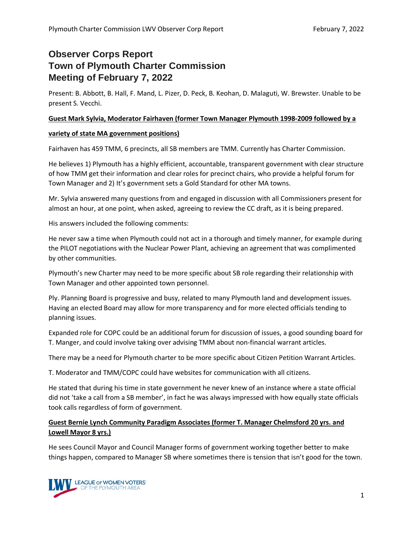# **Observer Corps Report Town of Plymouth Charter Commission Meeting of February 7, 2022**

Present: B. Abbott, B. Hall, F. Mand, L. Pizer, D. Peck, B. Keohan, D. Malaguti, W. Brewster. Unable to be present S. Vecchi.

## **Guest Mark Sylvia, Moderator Fairhaven (former Town Manager Plymouth 1998-2009 followed by a**

## **variety of state MA government positions)**

Fairhaven has 459 TMM, 6 precincts, all SB members are TMM. Currently has Charter Commission.

He believes 1) Plymouth has a highly efficient, accountable, transparent government with clear structure of how TMM get their information and clear roles for precinct chairs, who provide a helpful forum for Town Manager and 2) It's government sets a Gold Standard for other MA towns.

Mr. Sylvia answered many questions from and engaged in discussion with all Commissioners present for almost an hour, at one point, when asked, agreeing to review the CC draft, as it is being prepared.

His answers included the following comments:

He never saw a time when Plymouth could not act in a thorough and timely manner, for example during the PILOT negotiations with the Nuclear Power Plant, achieving an agreement that was complimented by other communities.

Plymouth's new Charter may need to be more specific about SB role regarding their relationship with Town Manager and other appointed town personnel.

Ply. Planning Board is progressive and busy, related to many Plymouth land and development issues. Having an elected Board may allow for more transparency and for more elected officials tending to planning issues.

Expanded role for COPC could be an additional forum for discussion of issues, a good sounding board for T. Manger, and could involve taking over advising TMM about non-financial warrant articles.

There may be a need for Plymouth charter to be more specific about Citizen Petition Warrant Articles.

T. Moderator and TMM/COPC could have websites for communication with all citizens.

He stated that during his time in state government he never knew of an instance where a state official did not 'take a call from a SB member', in fact he was always impressed with how equally state officials took calls regardless of form of government.

## **Guest Bernie Lynch Community Paradigm Associates (former T. Manager Chelmsford 20 yrs. and Lowell Mayor 8 yrs.)**

He sees Council Mayor and Council Manager forms of government working together better to make things happen, compared to Manager SB where sometimes there is tension that isn't good for the town.